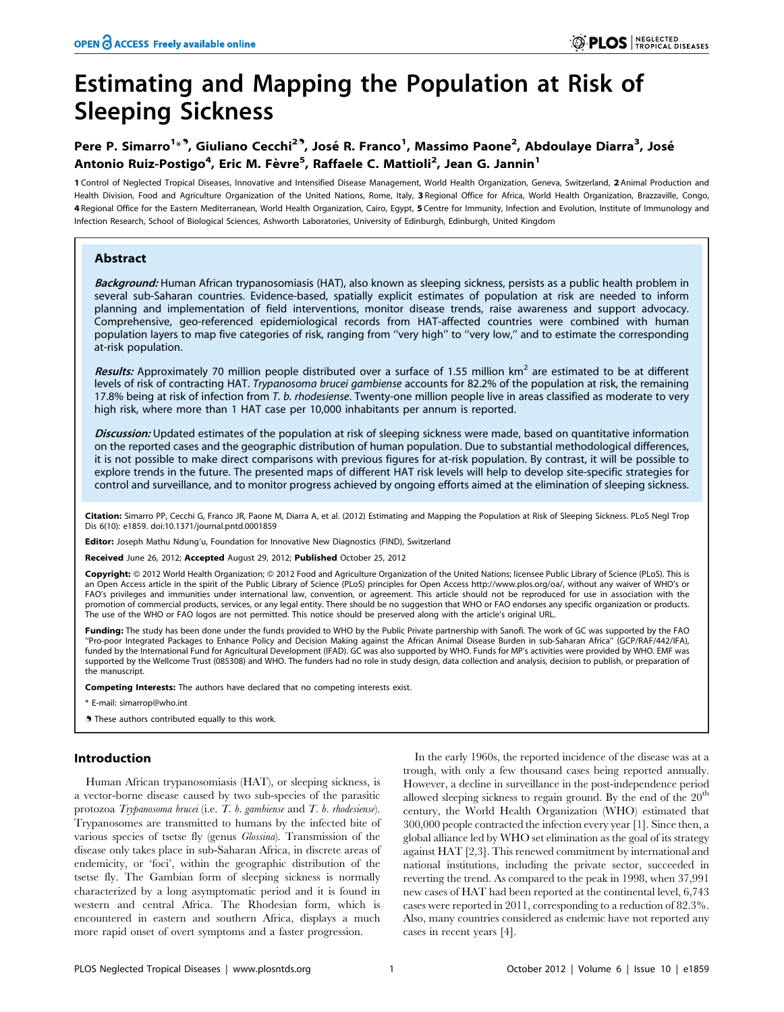# Estimating and Mapping the Population at Risk of Sleeping Sickness

# Pere P. Simarro<sup>1\*9</sup>, Giuliano Cecchi<sup>29</sup>, José R. Franco<sup>1</sup>, Massimo Paone<sup>2</sup>, Abdoulaye Diarra<sup>3</sup>, José Antonio Ruiz-Postigo<sup>4</sup>, Eric M. Fèvre<sup>5</sup>, Raffaele C. Mattioli<sup>2</sup>, Jean G. Jannin<sup>1</sup>

1 Control of Neglected Tropical Diseases, Innovative and Intensified Disease Management, World Health Organization, Geneva, Switzerland, 2 Animal Production and Health Division, Food and Agriculture Organization of the United Nations, Rome, Italy, 3 Regional Office for Africa, World Health Organization, Brazzaville, Congo, 4 Regional Office for the Eastern Mediterranean, World Health Organization, Cairo, Egypt, 5 Centre for Immunity, Infection and Evolution, Institute of Immunology and Infection Research, School of Biological Sciences, Ashworth Laboratories, University of Edinburgh, Edinburgh, United Kingdom

# Abstract

Background: Human African trypanosomiasis (HAT), also known as sleeping sickness, persists as a public health problem in several sub-Saharan countries. Evidence-based, spatially explicit estimates of population at risk are needed to inform planning and implementation of field interventions, monitor disease trends, raise awareness and support advocacy. Comprehensive, geo-referenced epidemiological records from HAT-affected countries were combined with human population layers to map five categories of risk, ranging from ''very high'' to ''very low,'' and to estimate the corresponding at-risk population.

Results: Approximately 70 million people distributed over a surface of 1.55 million km<sup>2</sup> are estimated to be at different levels of risk of contracting HAT. Trypanosoma brucei gambiense accounts for 82.2% of the population at risk, the remaining 17.8% being at risk of infection from T. b. rhodesiense. Twenty-one million people live in areas classified as moderate to very high risk, where more than 1 HAT case per 10,000 inhabitants per annum is reported.

Discussion: Updated estimates of the population at risk of sleeping sickness were made, based on quantitative information on the reported cases and the geographic distribution of human population. Due to substantial methodological differences, it is not possible to make direct comparisons with previous figures for at-risk population. By contrast, it will be possible to explore trends in the future. The presented maps of different HAT risk levels will help to develop site-specific strategies for control and surveillance, and to monitor progress achieved by ongoing efforts aimed at the elimination of sleeping sickness.

Citation: Simarro PP, Cecchi G, Franco JR, Paone M, Diarra A, et al. (2012) Estimating and Mapping the Population at Risk of Sleeping Sickness. PLoS Negl Trop Dis 6(10): e1859. doi:10.1371/journal.pntd.0001859

Editor: Joseph Mathu Ndung'u, Foundation for Innovative New Diagnostics (FIND), Switzerland

Received June 26, 2012; Accepted August 29, 2012; Published October 25, 2012

Copyright: © 2012 World Health Organization; © 2012 Food and Agriculture Organization of the United Nations; licensee Public Library of Science (PLoS). This is an Open Access article in the spirit of the Public Library of Science (PLoS) principles for Open Access http://www.plos.org/oa/, without any waiver of WHO's or FAO's privileges and immunities under international law, convention, or agreement. This article should not be reproduced for use in association with the promotion of commercial products, services, or any legal entity. There should be no suggestion that WHO or FAO endorses any specific organization or products. The use of the WHO or FAO logos are not permitted. This notice should be preserved along with the article's original URL.

Funding: The study has been done under the funds provided to WHO by the Public Private partnership with Sanofi. The work of GC was supported by the FAO ''Pro-poor Integrated Packages to Enhance Policy and Decision Making against the African Animal Disease Burden in sub-Saharan Africa'' (GCP/RAF/442/IFA), funded by the International Fund for Agricultural Development (IFAD). GC was also supported by WHO. Funds for MP's activities were provided by WHO. EMF was supported by the Wellcome Trust (085308) and WHO. The funders had no role in study design, data collection and analysis, decision to publish, or preparation of the manuscript.

Competing Interests: The authors have declared that no competing interests exist.

\* E-mail: simarrop@who.int

**.** These authors contributed equally to this work.

# Introduction

Human African trypanosomiasis (HAT), or sleeping sickness, is a vector-borne disease caused by two sub-species of the parasitic protozoa Trypanosoma brucei (i.e. T. b. gambiense and T. b. rhodesiense). Trypanosomes are transmitted to humans by the infected bite of various species of tsetse fly (genus Glossina). Transmission of the disease only takes place in sub-Saharan Africa, in discrete areas of endemicity, or 'foci', within the geographic distribution of the tsetse fly. The Gambian form of sleeping sickness is normally characterized by a long asymptomatic period and it is found in western and central Africa. The Rhodesian form, which is encountered in eastern and southern Africa, displays a much more rapid onset of overt symptoms and a faster progression.

In the early 1960s, the reported incidence of the disease was at a trough, with only a few thousand cases being reported annually. However, a decline in surveillance in the post-independence period allowed sleeping sickness to regain ground. By the end of the  $20<sup>th</sup>$ century, the World Health Organization (WHO) estimated that 300,000 people contracted the infection every year [1]. Since then, a global alliance led by WHO set elimination as the goal of its strategy against HAT [2,3]. This renewed commitment by international and national institutions, including the private sector, succeeded in reverting the trend. As compared to the peak in 1998, when 37,991 new cases of HAT had been reported at the continental level, 6,743 cases were reported in 2011, corresponding to a reduction of 82.3%. Also, many countries considered as endemic have not reported any cases in recent years [4].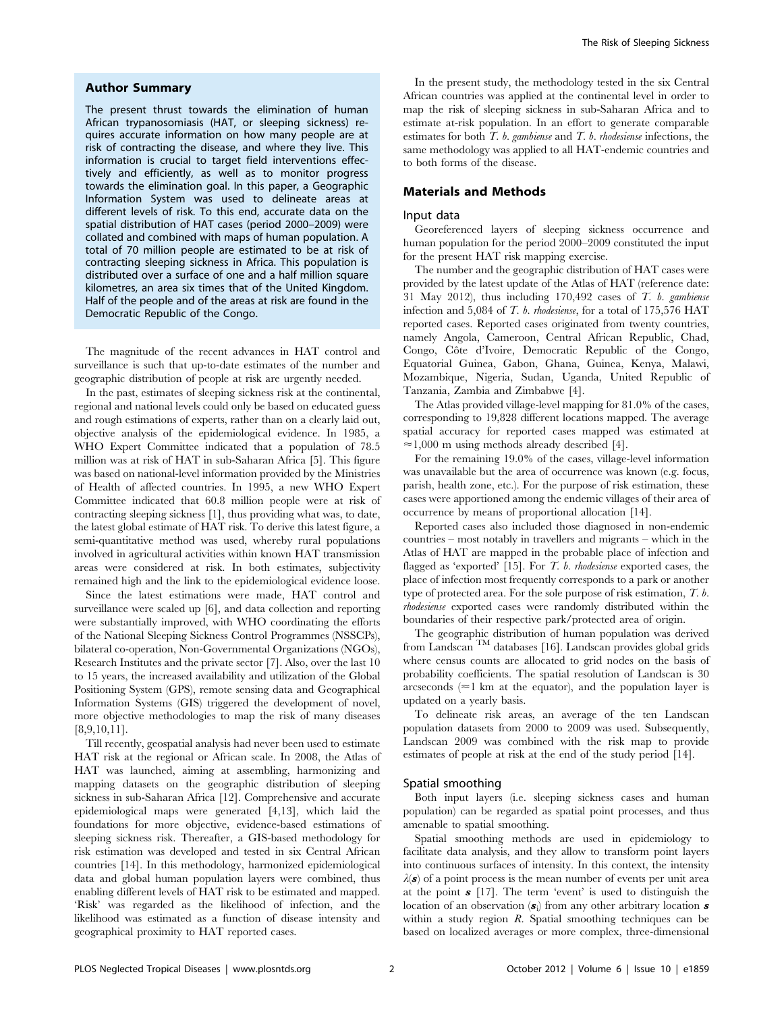#### Author Summary

The present thrust towards the elimination of human African trypanosomiasis (HAT, or sleeping sickness) requires accurate information on how many people are at risk of contracting the disease, and where they live. This information is crucial to target field interventions effectively and efficiently, as well as to monitor progress towards the elimination goal. In this paper, a Geographic Information System was used to delineate areas at different levels of risk. To this end, accurate data on the spatial distribution of HAT cases (period 2000–2009) were collated and combined with maps of human population. A total of 70 million people are estimated to be at risk of contracting sleeping sickness in Africa. This population is distributed over a surface of one and a half million square kilometres, an area six times that of the United Kingdom. Half of the people and of the areas at risk are found in the Democratic Republic of the Congo.

The magnitude of the recent advances in HAT control and surveillance is such that up-to-date estimates of the number and geographic distribution of people at risk are urgently needed.

In the past, estimates of sleeping sickness risk at the continental, regional and national levels could only be based on educated guess and rough estimations of experts, rather than on a clearly laid out, objective analysis of the epidemiological evidence. In 1985, a WHO Expert Committee indicated that a population of 78.5 million was at risk of HAT in sub-Saharan Africa [5]. This figure was based on national-level information provided by the Ministries of Health of affected countries. In 1995, a new WHO Expert Committee indicated that 60.8 million people were at risk of contracting sleeping sickness [1], thus providing what was, to date, the latest global estimate of HAT risk. To derive this latest figure, a semi-quantitative method was used, whereby rural populations involved in agricultural activities within known HAT transmission areas were considered at risk. In both estimates, subjectivity remained high and the link to the epidemiological evidence loose.

Since the latest estimations were made, HAT control and surveillance were scaled up [6], and data collection and reporting were substantially improved, with WHO coordinating the efforts of the National Sleeping Sickness Control Programmes (NSSCPs), bilateral co-operation, Non-Governmental Organizations (NGOs), Research Institutes and the private sector [7]. Also, over the last 10 to 15 years, the increased availability and utilization of the Global Positioning System (GPS), remote sensing data and Geographical Information Systems (GIS) triggered the development of novel, more objective methodologies to map the risk of many diseases [8,9,10,11].

Till recently, geospatial analysis had never been used to estimate HAT risk at the regional or African scale. In 2008, the Atlas of HAT was launched, aiming at assembling, harmonizing and mapping datasets on the geographic distribution of sleeping sickness in sub-Saharan Africa [12]. Comprehensive and accurate epidemiological maps were generated [4,13], which laid the foundations for more objective, evidence-based estimations of sleeping sickness risk. Thereafter, a GIS-based methodology for risk estimation was developed and tested in six Central African countries [14]. In this methodology, harmonized epidemiological data and global human population layers were combined, thus enabling different levels of HAT risk to be estimated and mapped. 'Risk' was regarded as the likelihood of infection, and the likelihood was estimated as a function of disease intensity and geographical proximity to HAT reported cases.

In the present study, the methodology tested in the six Central African countries was applied at the continental level in order to map the risk of sleeping sickness in sub-Saharan Africa and to estimate at-risk population. In an effort to generate comparable estimates for both  $T.$  b. gambiense and  $T.$  b. rhodesiense infections, the same methodology was applied to all HAT-endemic countries and to both forms of the disease.

#### Materials and Methods

#### Input data

Georeferenced layers of sleeping sickness occurrence and human population for the period 2000–2009 constituted the input for the present HAT risk mapping exercise.

The number and the geographic distribution of HAT cases were provided by the latest update of the Atlas of HAT (reference date: 31 May 2012), thus including  $170,492$  cases of T. b. gambiense infection and 5,084 of T. b. rhodesiense, for a total of 175,576 HAT reported cases. Reported cases originated from twenty countries, namely Angola, Cameroon, Central African Republic, Chad, Congo, Côte d'Ivoire, Democratic Republic of the Congo, Equatorial Guinea, Gabon, Ghana, Guinea, Kenya, Malawi, Mozambique, Nigeria, Sudan, Uganda, United Republic of Tanzania, Zambia and Zimbabwe [4].

The Atlas provided village-level mapping for 81.0% of the cases, corresponding to 19,828 different locations mapped. The average spatial accuracy for reported cases mapped was estimated at  $\approx$  1,000 m using methods already described [4].

For the remaining 19.0% of the cases, village-level information was unavailable but the area of occurrence was known (e.g. focus, parish, health zone, etc.). For the purpose of risk estimation, these cases were apportioned among the endemic villages of their area of occurrence by means of proportional allocation [14].

Reported cases also included those diagnosed in non-endemic countries – most notably in travellers and migrants – which in the Atlas of HAT are mapped in the probable place of infection and flagged as 'exported'  $[15]$ . For T. b. rhodesiense exported cases, the place of infection most frequently corresponds to a park or another type of protected area. For the sole purpose of risk estimation, T. b. rhodesiense exported cases were randomly distributed within the boundaries of their respective park/protected area of origin.

The geographic distribution of human population was derived from Landscan TM databases [16]. Landscan provides global grids where census counts are allocated to grid nodes on the basis of probability coefficients. The spatial resolution of Landscan is 30 arcseconds  $(\approx 1 \text{ km at the equator})$ , and the population layer is updated on a yearly basis.

To delineate risk areas, an average of the ten Landscan population datasets from 2000 to 2009 was used. Subsequently, Landscan 2009 was combined with the risk map to provide estimates of people at risk at the end of the study period [14].

#### Spatial smoothing

Both input layers (i.e. sleeping sickness cases and human population) can be regarded as spatial point processes, and thus amenable to spatial smoothing.

Spatial smoothing methods are used in epidemiology to facilitate data analysis, and they allow to transform point layers into continuous surfaces of intensity. In this context, the intensity  $\lambda(s)$  of a point process is the mean number of events per unit area at the point  $s$  [17]. The term 'event' is used to distinguish the location of an observation  $(s_i)$  from any other arbitrary location  $s$ within a study region  $R$ . Spatial smoothing techniques can be based on localized averages or more complex, three-dimensional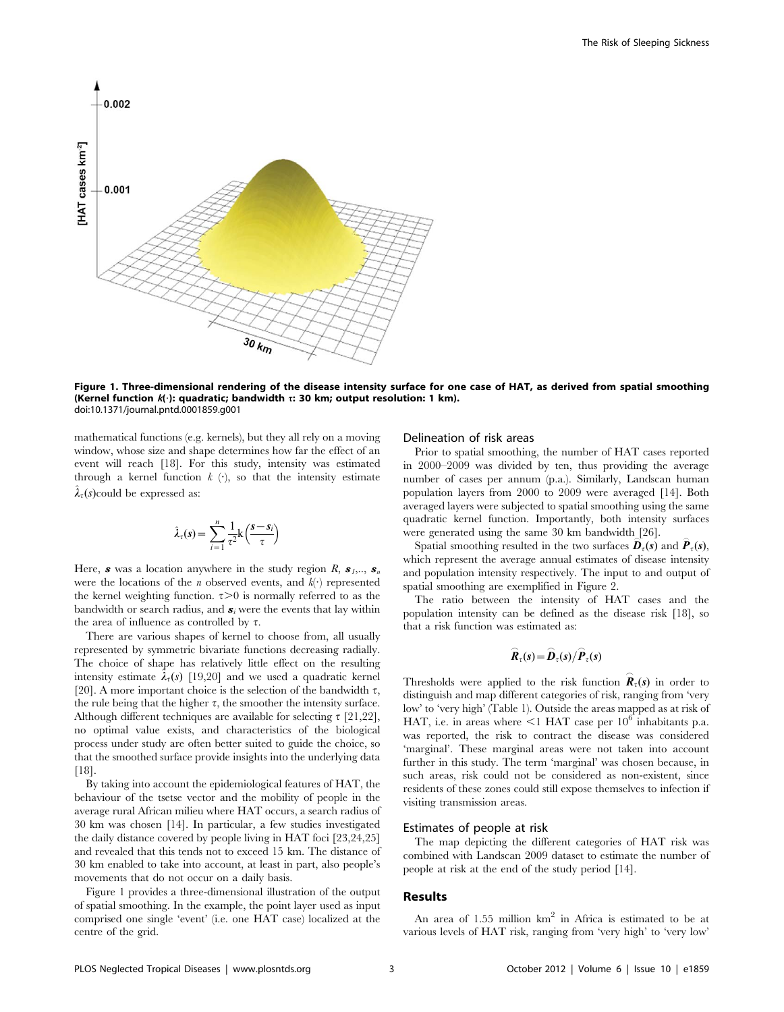

Figure 1. Three-dimensional rendering of the disease intensity surface for one case of HAT, as derived from spatial smoothing (Kernel function  $k(\cdot)$ : quadratic; bandwidth  $\tau$ : 30 km; output resolution: 1 km). doi:10.1371/journal.pntd.0001859.g001

mathematical functions (e.g. kernels), but they all rely on a moving window, whose size and shape determines how far the effect of an event will reach [18]. For this study, intensity was estimated through a kernel function  $k$  ( $\cdot$ ), so that the intensity estimate  $\lambda_{\tau}(s)$ could be expressed as:

$$
\hat{\lambda}_{\tau}(s) = \sum_{i=1}^{n} \frac{1}{\tau^2} \mathbf{k} \left( \frac{s - s_i}{\tau} \right)
$$

Here, s was a location anywhere in the study region R,  $s_1, \ldots, s_n$ were the locations of the *n* observed events, and  $k(\cdot)$  represented the kernel weighting function.  $\tau > 0$  is normally referred to as the bandwidth or search radius, and  $s_i$  were the events that lay within the area of influence as controlled by  $\tau$ .

There are various shapes of kernel to choose from, all usually represented by symmetric bivariate functions decreasing radially. The choice of shape has relatively little effect on the resulting intensity estimate  $\lambda_{\tau}(s)$  [19,20] and we used a quadratic kernel [20]. A more important choice is the selection of the bandwidth  $\tau$ , the rule being that the higher  $\tau$ , the smoother the intensity surface. Although different techniques are available for selecting  $\tau$  [21,22], no optimal value exists, and characteristics of the biological process under study are often better suited to guide the choice, so that the smoothed surface provide insights into the underlying data [18].

By taking into account the epidemiological features of HAT, the behaviour of the tsetse vector and the mobility of people in the average rural African milieu where HAT occurs, a search radius of 30 km was chosen [14]. In particular, a few studies investigated the daily distance covered by people living in HAT foci [23,24,25] and revealed that this tends not to exceed 15 km. The distance of 30 km enabled to take into account, at least in part, also people's movements that do not occur on a daily basis.

Figure 1 provides a three-dimensional illustration of the output of spatial smoothing. In the example, the point layer used as input comprised one single 'event' (i.e. one HAT case) localized at the centre of the grid.

### Delineation of risk areas

Prior to spatial smoothing, the number of HAT cases reported in 2000–2009 was divided by ten, thus providing the average number of cases per annum (p.a.). Similarly, Landscan human population layers from 2000 to 2009 were averaged [14]. Both averaged layers were subjected to spatial smoothing using the same quadratic kernel function. Importantly, both intensity surfaces were generated using the same 30 km bandwidth [26].

Spatial smoothing resulted in the two surfaces  $\overrightarrow{D}_{\tau}(s)$  and  $\overrightarrow{P}_{\tau}(s)$ , which represent the average annual estimates of disease intensity and population intensity respectively. The input to and output of spatial smoothing are exemplified in Figure 2.

The ratio between the intensity of HAT cases and the population intensity can be defined as the disease risk [18], so that a risk function was estimated as:

$$
\widehat{\boldsymbol{R}}_{\tau}(\boldsymbol{s}) = \widehat{\boldsymbol{D}}_{\tau}(\boldsymbol{s}) / \widehat{\boldsymbol{P}}_{\tau}(\boldsymbol{s})
$$

Thresholds were applied to the risk function  $\hat{\boldsymbol{R}}_{\tau}(\boldsymbol{s})$  in order to distinguish and map different categories of risk, ranging from 'very low' to 'very high' (Table 1). Outside the areas mapped as at risk of HAT, i.e. in areas where  $\leq$ 1 HAT case per 10<sup>6</sup> inhabitants p.a. was reported, the risk to contract the disease was considered 'marginal'. These marginal areas were not taken into account further in this study. The term 'marginal' was chosen because, in such areas, risk could not be considered as non-existent, since residents of these zones could still expose themselves to infection if visiting transmission areas.

#### Estimates of people at risk

The map depicting the different categories of HAT risk was combined with Landscan 2009 dataset to estimate the number of people at risk at the end of the study period [14].

#### Results

An area of  $1.55$  million  $km^2$  in Africa is estimated to be at various levels of HAT risk, ranging from 'very high' to 'very low'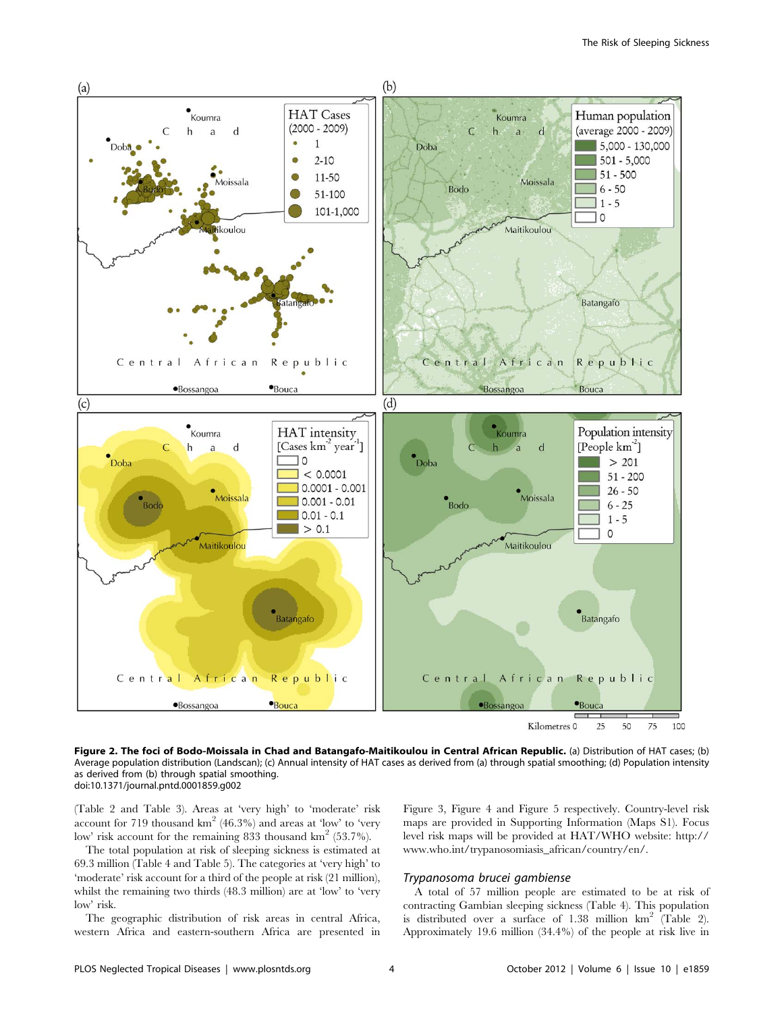

Figure 2. The foci of Bodo-Moissala in Chad and Batangafo-Maitikoulou in Central African Republic. (a) Distribution of HAT cases; (b) Average population distribution (Landscan); (c) Annual intensity of HAT cases as derived from (a) through spatial smoothing; (d) Population intensity as derived from (b) through spatial smoothing. doi:10.1371/journal.pntd.0001859.g002

(Table 2 and Table 3). Areas at 'very high' to 'moderate' risk account for 719 thousand  $km^2$  (46.3%) and areas at 'low' to 'very low' risk account for the remaining 833 thousand  $km^2$  (53.7%).

The total population at risk of sleeping sickness is estimated at 69.3 million (Table 4 and Table 5). The categories at 'very high' to 'moderate' risk account for a third of the people at risk (21 million), whilst the remaining two thirds (48.3 million) are at 'low' to 'very low' risk.

The geographic distribution of risk areas in central Africa, western Africa and eastern-southern Africa are presented in Figure 3, Figure 4 and Figure 5 respectively. Country-level risk maps are provided in Supporting Information (Maps S1). Focus level risk maps will be provided at HAT/WHO website: http:// www.who.int/trypanosomiasis\_african/country/en/.

# Trypanosoma brucei gambiense

A total of 57 million people are estimated to be at risk of contracting Gambian sleeping sickness (Table 4). This population is distributed over a surface of  $1.38$  million  $km^2$  (Table 2). Approximately 19.6 million (34.4%) of the people at risk live in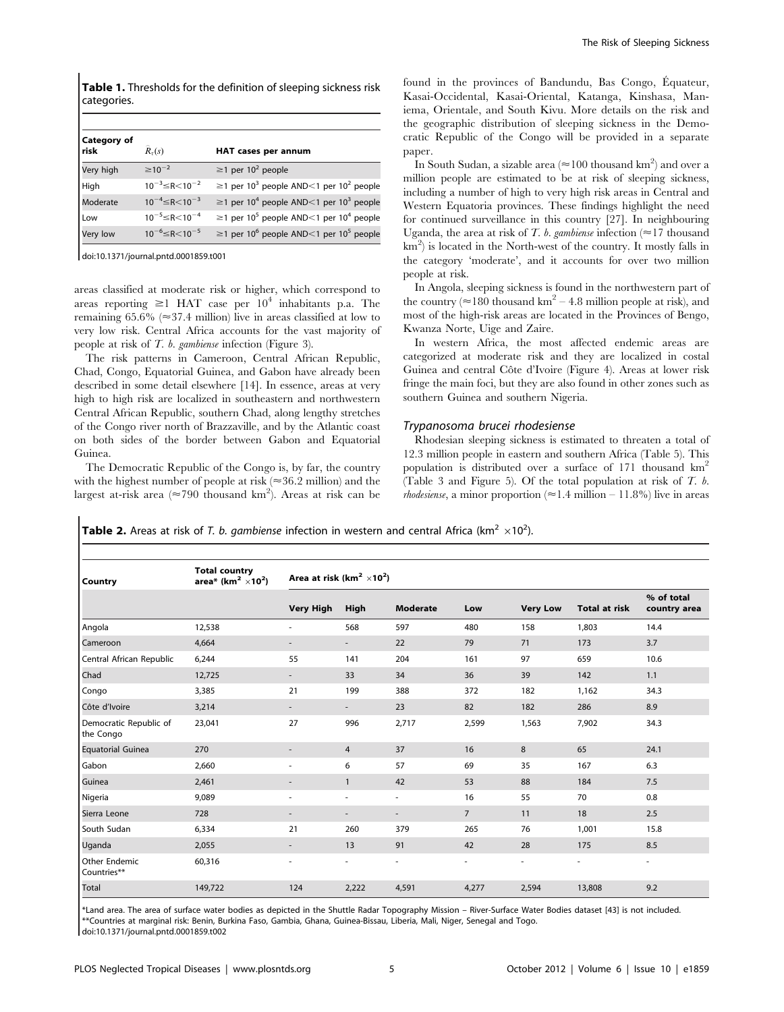Table 1. Thresholds for the definition of sleeping sickness risk categories.

| Category of<br>risk | $\hat{R}_\tau(s)$                          | HAT cases per annum                                                  |
|---------------------|--------------------------------------------|----------------------------------------------------------------------|
| Very high<br>High   | $\geq 10^{-2}$                             | $\geq$ 1 per 10 <sup>2</sup> people                                  |
|                     | $10^{-3}$ $\leq$ R $<$ 10 <sup>-2</sup>    | $\geq$ 1 per 10 <sup>3</sup> people AND<1 per 10 <sup>2</sup> people |
| Moderate            | $10^{-4}$ $\leq$ R $\leq$ 10 <sup>-3</sup> | $\geq$ 1 per 10 <sup>4</sup> people AND<1 per 10 <sup>3</sup> people |
| Low                 | $10^{-5}$ $\leq$ R $<$ 10 <sup>-4</sup>    | $\geq$ 1 per 10 <sup>5</sup> people AND<1 per 10 <sup>4</sup> people |
| Very low            | $10^{-6}$ $\leq$ R $<$ 10 <sup>-5</sup>    | $\geq$ 1 per 10 <sup>6</sup> people AND<1 per 10 <sup>5</sup> people |
|                     |                                            |                                                                      |

doi:10.1371/journal.pntd.0001859.t001

areas classified at moderate risk or higher, which correspond to areas reporting  $\geq 1$  HAT case per  $10^4$  inhabitants p.a. The remaining 65.6% ( $\approx$ 37.4 million) live in areas classified at low to very low risk. Central Africa accounts for the vast majority of people at risk of T. b. gambiense infection (Figure 3).

The risk patterns in Cameroon, Central African Republic, Chad, Congo, Equatorial Guinea, and Gabon have already been described in some detail elsewhere [14]. In essence, areas at very high to high risk are localized in southeastern and northwestern Central African Republic, southern Chad, along lengthy stretches of the Congo river north of Brazzaville, and by the Atlantic coast on both sides of the border between Gabon and Equatorial Guinea.

The Democratic Republic of the Congo is, by far, the country with the highest number of people at risk  $(\approx 36.2 \text{ million})$  and the largest at-risk area ( $\approx$ 790 thousand km<sup>2</sup>). Areas at risk can be

found in the provinces of Bandundu, Bas Congo, Équateur, Kasai-Occidental, Kasai-Oriental, Katanga, Kinshasa, Maniema, Orientale, and South Kivu. More details on the risk and the geographic distribution of sleeping sickness in the Democratic Republic of the Congo will be provided in a separate paper.

In South Sudan, a sizable area ( $\approx$ 100 thousand km<sup>2</sup>) and over a million people are estimated to be at risk of sleeping sickness, including a number of high to very high risk areas in Central and Western Equatoria provinces. These findings highlight the need for continued surveillance in this country [27]. In neighbouring Uganda, the area at risk of T. b. gambiense infection  $(\approx 17$  thousand km<sup>2</sup>) is located in the North-west of the country. It mostly falls in the category 'moderate', and it accounts for over two million people at risk.

In Angola, sleeping sickness is found in the northwestern part of the country ( $\approx$ 180 thousand km<sup>2</sup> – 4.8 million people at risk), and most of the high-risk areas are located in the Provinces of Bengo, Kwanza Norte, Uige and Zaire.

In western Africa, the most affected endemic areas are categorized at moderate risk and they are localized in costal Guinea and central Côte d'Ivoire (Figure 4). Areas at lower risk fringe the main foci, but they are also found in other zones such as southern Guinea and southern Nigeria.

# Trypanosoma brucei rhodesiense

Rhodesian sleeping sickness is estimated to threaten a total of 12.3 million people in eastern and southern Africa (Table 5). This population is distributed over a surface of 171 thousand km2 (Table 3 and Figure 5). Of the total population at risk of  $T$ .  $b$ . *rhodesiense*, a minor proportion ( $\approx$  1.4 million – 11.8%) live in areas

**Table 2.** Areas at risk of T. b. gambiense infection in western and central Africa (km<sup>2</sup>  $\times$ 10<sup>2</sup>).

| Country                             | <b>Total country</b><br>area* ( $km^2 \times 10^2$ ) | Area at risk ( $km^2 \times 10^2$ ) |                          |                 |                          |                 |                          |                            |
|-------------------------------------|------------------------------------------------------|-------------------------------------|--------------------------|-----------------|--------------------------|-----------------|--------------------------|----------------------------|
|                                     |                                                      | <b>Very High</b>                    | High                     | <b>Moderate</b> | Low                      | <b>Very Low</b> | <b>Total at risk</b>     | % of total<br>country area |
| Angola                              | 12,538                                               | $\overline{\phantom{a}}$            | 568                      | 597             | 480                      | 158             | 1,803                    | 14.4                       |
| Cameroon                            | 4,664                                                | $\overline{\phantom{a}}$            | $\overline{\phantom{a}}$ | 22              | 79                       | 71              | 173                      | 3.7                        |
| Central African Republic            | 6,244                                                | 55                                  | 141                      | 204             | 161                      | 97              | 659                      | 10.6                       |
| Chad                                | 12,725                                               | $\overline{\phantom{a}}$            | 33                       | 34              | 36                       | 39              | 142                      | 1.1                        |
| Congo                               | 3,385                                                | 21                                  | 199                      | 388             | 372                      | 182             | 1,162                    | 34.3                       |
| Côte d'Ivoire                       | 3,214                                                | $\overline{\phantom{a}}$            |                          | 23              | 82                       | 182             | 286                      | 8.9                        |
| Democratic Republic of<br>the Congo | 23,041                                               | 27                                  | 996                      | 2,717           | 2,599                    | 1,563           | 7,902                    | 34.3                       |
| <b>Equatorial Guinea</b>            | 270                                                  | $\qquad \qquad \blacksquare$        | $\overline{4}$           | 37              | 16                       | 8               | 65                       | 24.1                       |
| Gabon                               | 2,660                                                | $\overline{\phantom{a}}$            | 6                        | 57              | 69                       | 35              | 167                      | 6.3                        |
| Guinea                              | 2,461                                                | $\overline{\phantom{a}}$            | $\mathbf{1}$             | 42              | 53                       | 88              | 184                      | 7.5                        |
| Nigeria                             | 9,089                                                | ٠                                   | ×                        | ٠               | 16                       | 55              | 70                       | 0.8                        |
| Sierra Leone                        | 728                                                  | $\overline{\phantom{a}}$            |                          |                 | $\overline{7}$           | 11              | 18                       | 2.5                        |
| South Sudan                         | 6,334                                                | 21                                  | 260                      | 379             | 265                      | 76              | 1,001                    | 15.8                       |
| Uganda                              | 2,055                                                | $\overline{\phantom{a}}$            | 13                       | 91              | 42                       | 28              | 175                      | 8.5                        |
| Other Endemic<br>Countries**        | 60,316                                               | $\overline{\phantom{a}}$            | ٠                        | ٠               | $\overline{\phantom{0}}$ | ٠               | $\overline{\phantom{a}}$ | $\overline{\phantom{a}}$   |
| Total                               | 149,722                                              | 124                                 | 2,222                    | 4,591           | 4,277                    | 2,594           | 13,808                   | 9.2                        |

\*Land area. The area of surface water bodies as depicted in the Shuttle Radar Topography Mission – River-Surface Water Bodies dataset [43] is not included. \*\*Countries at marginal risk: Benin, Burkina Faso, Gambia, Ghana, Guinea-Bissau, Liberia, Mali, Niger, Senegal and Togo. doi:10.1371/journal.pntd.0001859.t002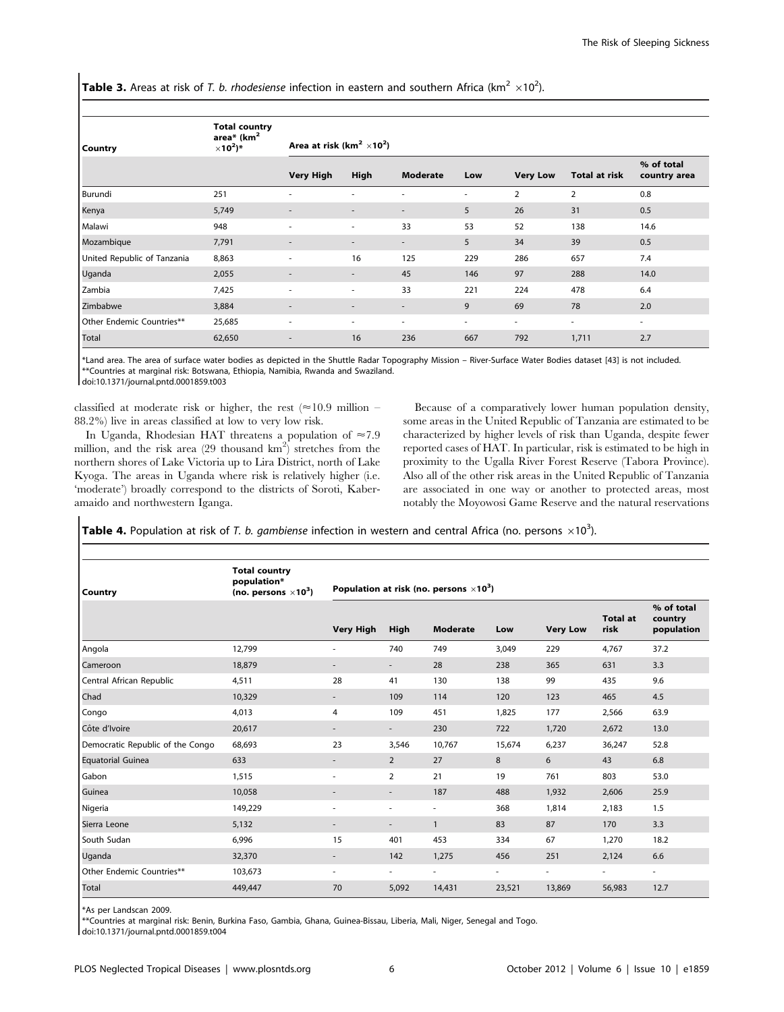Table 3. Areas at risk of T. b. rhodesiense infection in eastern and southern Africa (km<sup>2</sup>  $\times$ 10<sup>2</sup>).

| <b>Country</b>              | <b>Total country</b><br>area* (km <sup>2</sup><br>$\times 10^2$ <sup>*</sup> | Area at risk ( $km^2 \times 10^2$ ) |                          |                          |     |                 |                      |                            |  |
|-----------------------------|------------------------------------------------------------------------------|-------------------------------------|--------------------------|--------------------------|-----|-----------------|----------------------|----------------------------|--|
|                             |                                                                              | <b>Very High</b>                    | High                     | Moderate                 | Low | <b>Very Low</b> | <b>Total at risk</b> | % of total<br>country area |  |
| Burundi                     | 251                                                                          |                                     |                          |                          | ٠   | 2               | $\overline{2}$       | 0.8                        |  |
| Kenya                       | 5,749                                                                        | $\overline{\phantom{a}}$            | $\overline{\phantom{a}}$ | $\overline{\phantom{a}}$ | 5   | 26              | 31                   | 0.5                        |  |
| Malawi                      | 948                                                                          |                                     | ٠                        | 33                       | 53  | 52              | 138                  | 14.6                       |  |
| Mozambique                  | 7,791                                                                        | $\overline{\phantom{a}}$            | $\overline{\phantom{a}}$ | $\overline{\phantom{a}}$ | 5   | 34              | 39                   | 0.5                        |  |
| United Republic of Tanzania | 8,863                                                                        | ٠                                   | 16                       | 125                      | 229 | 286             | 657                  | 7.4                        |  |
| Uganda                      | 2,055                                                                        |                                     | $\overline{\phantom{a}}$ | 45                       | 146 | 97              | 288                  | 14.0                       |  |
| Zambia                      | 7,425                                                                        | ٠                                   | ٠                        | 33                       | 221 | 224             | 478                  | 6.4                        |  |
| Zimbabwe                    | 3,884                                                                        |                                     | ٠                        | $\overline{\phantom{a}}$ | 9   | 69              | 78                   | 2.0                        |  |
| Other Endemic Countries**   | 25,685                                                                       | ٠                                   | ٠                        | $\overline{\phantom{a}}$ | ۰.  | ٠               | ٠                    | ٠                          |  |
| Total                       | 62,650                                                                       | $\overline{\phantom{a}}$            | 16                       | 236                      | 667 | 792             | 1,711                | 2.7                        |  |

\*Land area. The area of surface water bodies as depicted in the Shuttle Radar Topography Mission – River-Surface Water Bodies dataset [43] is not included. \*\*Countries at marginal risk: Botswana, Ethiopia, Namibia, Rwanda and Swaziland. doi:10.1371/journal.pntd.0001859.t003

classified at moderate risk or higher, the rest  $\approx 10.9$  million – 88.2%) live in areas classified at low to very low risk.

In Uganda, Rhodesian HAT threatens a population of  $\approx 7.9$ million, and the risk area (29 thousand  $km^2$ ) stretches from the northern shores of Lake Victoria up to Lira District, north of Lake Kyoga. The areas in Uganda where risk is relatively higher (i.e. 'moderate') broadly correspond to the districts of Soroti, Kaberamaido and northwestern Iganga.

Because of a comparatively lower human population density, some areas in the United Republic of Tanzania are estimated to be characterized by higher levels of risk than Uganda, despite fewer reported cases of HAT. In particular, risk is estimated to be high in proximity to the Ugalla River Forest Reserve (Tabora Province). Also all of the other risk areas in the United Republic of Tanzania are associated in one way or another to protected areas, most notably the Moyowosi Game Reserve and the natural reservations

Table 4. Population at risk of T. b. gambiense infection in western and central Africa (no. persons  $\times 10^3$ ).

| Country                          | <b>Total country</b><br>population*<br>(no. persons $\times 10^3$ ) | Population at risk (no. persons $\times 10^3$ ) |                          |                 |        |                          |                         |                                     |  |  |
|----------------------------------|---------------------------------------------------------------------|-------------------------------------------------|--------------------------|-----------------|--------|--------------------------|-------------------------|-------------------------------------|--|--|
|                                  |                                                                     | <b>Very High</b>                                | High                     | <b>Moderate</b> | Low    | <b>Very Low</b>          | <b>Total at</b><br>risk | % of total<br>country<br>population |  |  |
| Angola                           | 12,799                                                              |                                                 | 740                      | 749             | 3,049  | 229                      | 4,767                   | 37.2                                |  |  |
| Cameroon                         | 18,879                                                              | $\overline{\phantom{a}}$                        | $\overline{\phantom{a}}$ | 28              | 238    | 365                      | 631                     | 3.3                                 |  |  |
| Central African Republic         | 4,511                                                               | 28                                              | 41                       | 130             | 138    | 99                       | 435                     | 9.6                                 |  |  |
| Chad                             | 10,329                                                              | ٠                                               | 109                      | 114             | 120    | 123                      | 465                     | 4.5                                 |  |  |
| Congo                            | 4,013                                                               | 4                                               | 109                      | 451             | 1,825  | 177                      | 2,566                   | 63.9                                |  |  |
| Côte d'Ivoire                    | 20,617                                                              | $\overline{\phantom{a}}$                        | $\overline{\phantom{a}}$ | 230             | 722    | 1,720                    | 2,672                   | 13.0                                |  |  |
| Democratic Republic of the Congo | 68,693                                                              | 23                                              | 3,546                    | 10,767          | 15,674 | 6,237                    | 36,247                  | 52.8                                |  |  |
| <b>Equatorial Guinea</b>         | 633                                                                 | ۰                                               | $\overline{2}$           | 27              | 8      | 6                        | 43                      | 6.8                                 |  |  |
| Gabon                            | 1,515                                                               | ٠                                               | $\overline{2}$           | 21              | 19     | 761                      | 803                     | 53.0                                |  |  |
| Guinea                           | 10,058                                                              | ۰                                               | $\overline{\phantom{a}}$ | 187             | 488    | 1,932                    | 2,606                   | 25.9                                |  |  |
| Nigeria                          | 149,229                                                             | ۰                                               | $\overline{\phantom{a}}$ | $\sim$          | 368    | 1,814                    | 2,183                   | 1.5                                 |  |  |
| Sierra Leone                     | 5,132                                                               | ٠                                               | $\overline{\phantom{a}}$ | $\mathbf{1}$    | 83     | 87                       | 170                     | 3.3                                 |  |  |
| South Sudan                      | 6,996                                                               | 15                                              | 401                      | 453             | 334    | 67                       | 1,270                   | 18.2                                |  |  |
| Uganda                           | 32,370                                                              | $\overline{\phantom{a}}$                        | 142                      | 1,275           | 456    | 251                      | 2,124                   | 6.6                                 |  |  |
| Other Endemic Countries**        | 103,673                                                             | ٠                                               | $\overline{\phantom{a}}$ | $\sim$          | ٠      | $\overline{\phantom{a}}$ | $\sim$                  | $\overline{\phantom{a}}$            |  |  |
| Total                            | 449,447                                                             | 70                                              | 5,092                    | 14,431          | 23,521 | 13,869                   | 56,983                  | 12.7                                |  |  |

\*As per Landscan 2009.

\*\*Countries at marginal risk: Benin, Burkina Faso, Gambia, Ghana, Guinea-Bissau, Liberia, Mali, Niger, Senegal and Togo.

doi:10.1371/journal.pntd.0001859.t004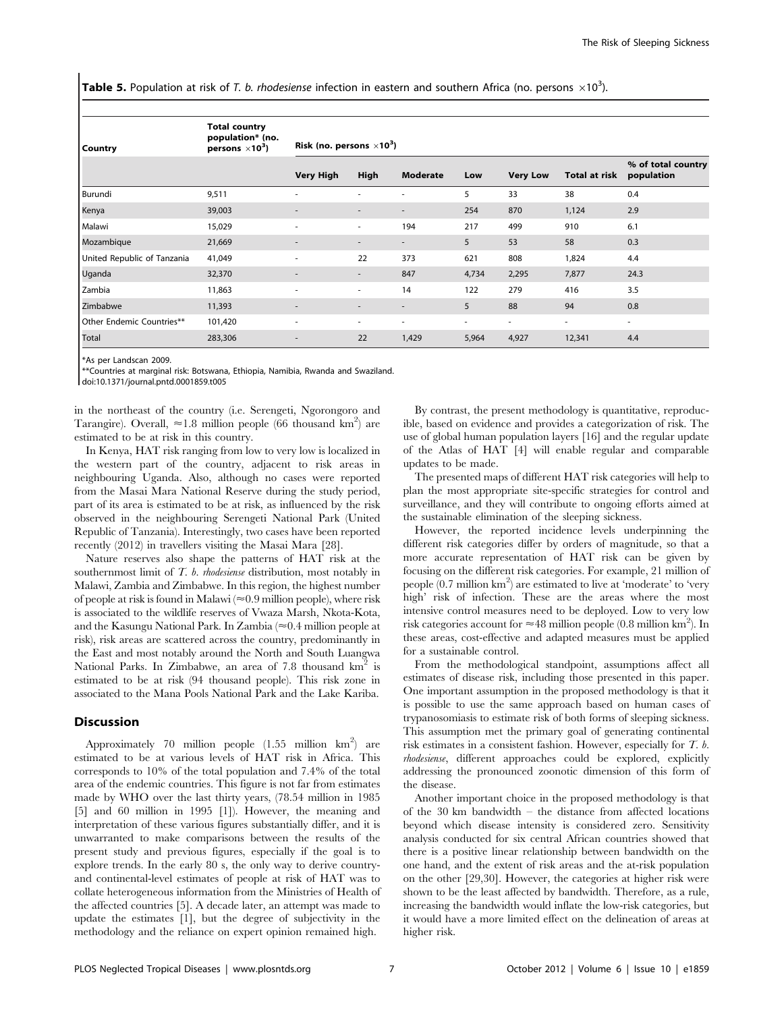**Table 5.** Population at risk of T. b. rhodesiense infection in eastern and southern Africa (no. persons  $\times 10^3$ ).

| <b>Country</b>              | <b>Total country</b><br>population* (no.<br>persons $\times$ 10 <sup>3</sup> ) | Risk (no. persons $\times$ 10 <sup>3</sup> ) |                          |                          |       |                 |                          |                                  |  |
|-----------------------------|--------------------------------------------------------------------------------|----------------------------------------------|--------------------------|--------------------------|-------|-----------------|--------------------------|----------------------------------|--|
|                             |                                                                                | <b>Very High</b>                             | High                     | Moderate                 | Low   | <b>Very Low</b> | <b>Total at risk</b>     | % of total country<br>population |  |
| Burundi                     | 9,511                                                                          |                                              |                          | ٠                        | 5     | 33              | 38                       | 0.4                              |  |
| Kenya                       | 39,003                                                                         |                                              | $\overline{\phantom{a}}$ | $\overline{\phantom{a}}$ | 254   | 870             | 1,124                    | 2.9                              |  |
| Malawi                      | 15,029                                                                         |                                              | $\overline{\phantom{a}}$ | 194                      | 217   | 499             | 910                      | 6.1                              |  |
| Mozambique                  | 21,669                                                                         |                                              | $\overline{\phantom{a}}$ | $\overline{\phantom{a}}$ | 5     | 53              | 58                       | 0.3                              |  |
| United Republic of Tanzania | 41,049                                                                         |                                              | 22                       | 373                      | 621   | 808             | 1,824                    | 4.4                              |  |
| Uganda                      | 32,370                                                                         | $\overline{\phantom{a}}$                     | $\overline{\phantom{a}}$ | 847                      | 4,734 | 2,295           | 7,877                    | 24.3                             |  |
| Zambia                      | 11,863                                                                         |                                              | ٠                        | 14                       | 122   | 279             | 416                      | 3.5                              |  |
| Zimbabwe                    | 11,393                                                                         |                                              | $\overline{\phantom{a}}$ | $\overline{\phantom{a}}$ | 5     | 88              | 94                       | 0.8                              |  |
| Other Endemic Countries**   | 101,420                                                                        |                                              | ٠                        | $\overline{\phantom{a}}$ | ٠     | ٠               | $\overline{\phantom{a}}$ | $\overline{\phantom{a}}$         |  |
| Total                       | 283,306                                                                        |                                              | 22                       | 1,429                    | 5,964 | 4,927           | 12,341                   | 4.4                              |  |

\*As per Landscan 2009.

\*\*Countries at marginal risk: Botswana, Ethiopia, Namibia, Rwanda and Swaziland.

doi:10.1371/journal.pntd.0001859.t005

in the northeast of the country (i.e. Serengeti, Ngorongoro and Tarangire). Overall,  $\approx$  1.8 million people (66 thousand km<sup>2</sup>) are estimated to be at risk in this country.

In Kenya, HAT risk ranging from low to very low is localized in the western part of the country, adjacent to risk areas in neighbouring Uganda. Also, although no cases were reported from the Masai Mara National Reserve during the study period, part of its area is estimated to be at risk, as influenced by the risk observed in the neighbouring Serengeti National Park (United Republic of Tanzania). Interestingly, two cases have been reported recently (2012) in travellers visiting the Masai Mara [28].

Nature reserves also shape the patterns of HAT risk at the southernmost limit of T. b. rhodesiense distribution, most notably in Malawi, Zambia and Zimbabwe. In this region, the highest number of people at risk is found in Malawi ( $\approx 0.9$  million people), where risk is associated to the wildlife reserves of Vwaza Marsh, Nkota-Kota, and the Kasungu National Park. In Zambia ( $\approx 0.4$  million people at risk), risk areas are scattered across the country, predominantly in the East and most notably around the North and South Luangwa National Parks. In Zimbabwe, an area of  $7.8$  thousand  $km^2$  is estimated to be at risk (94 thousand people). This risk zone in associated to the Mana Pools National Park and the Lake Kariba.

#### **Discussion**

Approximately 70 million people  $(1.55 \text{ million km}^2)$  are estimated to be at various levels of HAT risk in Africa. This corresponds to 10% of the total population and 7.4% of the total area of the endemic countries. This figure is not far from estimates made by WHO over the last thirty years, (78.54 million in 1985 [5] and 60 million in 1995 [1]). However, the meaning and interpretation of these various figures substantially differ, and it is unwarranted to make comparisons between the results of the present study and previous figures, especially if the goal is to explore trends. In the early 80 s, the only way to derive countryand continental-level estimates of people at risk of HAT was to collate heterogeneous information from the Ministries of Health of the affected countries [5]. A decade later, an attempt was made to update the estimates [1], but the degree of subjectivity in the methodology and the reliance on expert opinion remained high.

By contrast, the present methodology is quantitative, reproducible, based on evidence and provides a categorization of risk. The use of global human population layers [16] and the regular update of the Atlas of HAT [4] will enable regular and comparable updates to be made.

The presented maps of different HAT risk categories will help to plan the most appropriate site-specific strategies for control and surveillance, and they will contribute to ongoing efforts aimed at the sustainable elimination of the sleeping sickness.

However, the reported incidence levels underpinning the different risk categories differ by orders of magnitude, so that a more accurate representation of HAT risk can be given by focusing on the different risk categories. For example, 21 million of people  $(0.7 \text{ million km}^2)$  are estimated to live at 'moderate' to 'very high' risk of infection. These are the areas where the most intensive control measures need to be deployed. Low to very low risk categories account for  $\approx$  48 million people (0.8 million km<sup>2</sup>). In these areas, cost-effective and adapted measures must be applied for a sustainable control.

From the methodological standpoint, assumptions affect all estimates of disease risk, including those presented in this paper. One important assumption in the proposed methodology is that it is possible to use the same approach based on human cases of trypanosomiasis to estimate risk of both forms of sleeping sickness. This assumption met the primary goal of generating continental risk estimates in a consistent fashion. However, especially for T. b. rhodesiense, different approaches could be explored, explicitly addressing the pronounced zoonotic dimension of this form of the disease.

Another important choice in the proposed methodology is that of the 30 km bandwidth – the distance from affected locations beyond which disease intensity is considered zero. Sensitivity analysis conducted for six central African countries showed that there is a positive linear relationship between bandwidth on the one hand, and the extent of risk areas and the at-risk population on the other [29,30]. However, the categories at higher risk were shown to be the least affected by bandwidth. Therefore, as a rule, increasing the bandwidth would inflate the low-risk categories, but it would have a more limited effect on the delineation of areas at higher risk.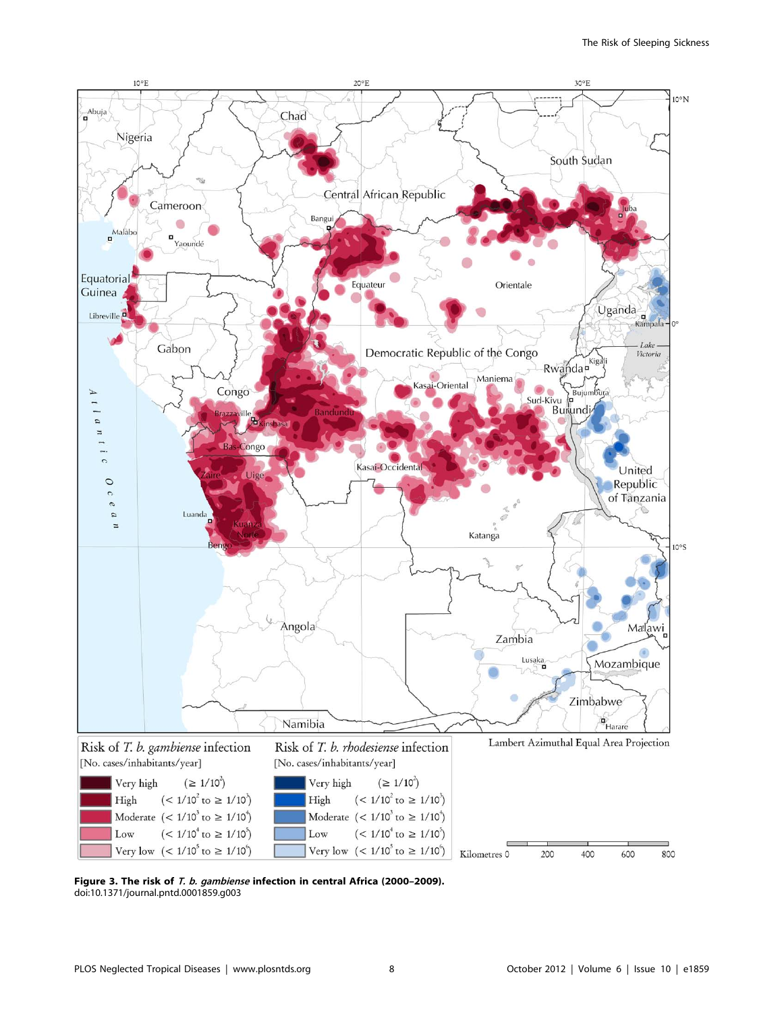

Figure 3. The risk of T. b. gambiense infection in central Africa (2000-2009). doi:10.1371/journal.pntd.0001859.g003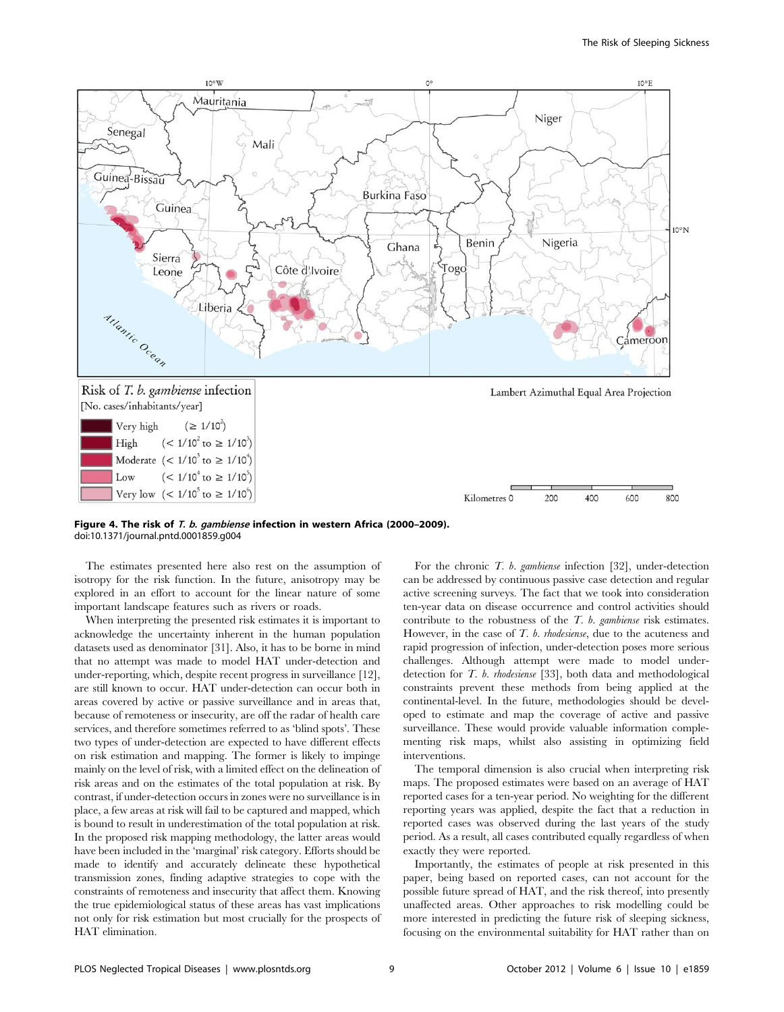

Figure 4. The risk of T. b. gambiense infection in western Africa (2000-2009). doi:10.1371/journal.pntd.0001859.g004

The estimates presented here also rest on the assumption of isotropy for the risk function. In the future, anisotropy may be explored in an effort to account for the linear nature of some important landscape features such as rivers or roads.

When interpreting the presented risk estimates it is important to acknowledge the uncertainty inherent in the human population datasets used as denominator [31]. Also, it has to be borne in mind that no attempt was made to model HAT under-detection and under-reporting, which, despite recent progress in surveillance [12], are still known to occur. HAT under-detection can occur both in areas covered by active or passive surveillance and in areas that, because of remoteness or insecurity, are off the radar of health care services, and therefore sometimes referred to as 'blind spots'. These two types of under-detection are expected to have different effects on risk estimation and mapping. The former is likely to impinge mainly on the level of risk, with a limited effect on the delineation of risk areas and on the estimates of the total population at risk. By contrast, if under-detection occurs in zones were no surveillance is in place, a few areas at risk will fail to be captured and mapped, which is bound to result in underestimation of the total population at risk. In the proposed risk mapping methodology, the latter areas would have been included in the 'marginal' risk category. Efforts should be made to identify and accurately delineate these hypothetical transmission zones, finding adaptive strategies to cope with the constraints of remoteness and insecurity that affect them. Knowing the true epidemiological status of these areas has vast implications not only for risk estimation but most crucially for the prospects of HAT elimination.

For the chronic  $T.$  b. gambiense infection [32], under-detection can be addressed by continuous passive case detection and regular active screening surveys. The fact that we took into consideration ten-year data on disease occurrence and control activities should contribute to the robustness of the T. b. gambiense risk estimates. However, in the case of  $T$ .  $b$ . rhodesiense, due to the acuteness and rapid progression of infection, under-detection poses more serious challenges. Although attempt were made to model underdetection for T. b. rhodesiense [33], both data and methodological constraints prevent these methods from being applied at the continental-level. In the future, methodologies should be developed to estimate and map the coverage of active and passive surveillance. These would provide valuable information complementing risk maps, whilst also assisting in optimizing field interventions.

The temporal dimension is also crucial when interpreting risk maps. The proposed estimates were based on an average of HAT reported cases for a ten-year period. No weighting for the different reporting years was applied, despite the fact that a reduction in reported cases was observed during the last years of the study period. As a result, all cases contributed equally regardless of when exactly they were reported.

Importantly, the estimates of people at risk presented in this paper, being based on reported cases, can not account for the possible future spread of HAT, and the risk thereof, into presently unaffected areas. Other approaches to risk modelling could be more interested in predicting the future risk of sleeping sickness, focusing on the environmental suitability for HAT rather than on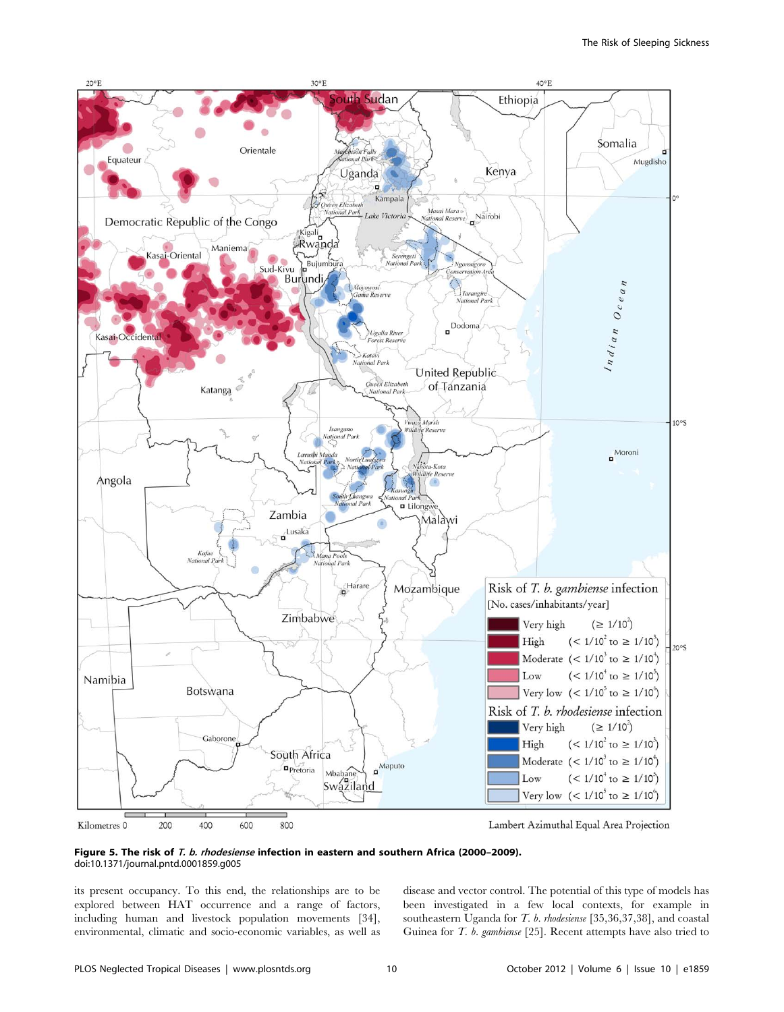



its present occupancy. To this end, the relationships are to be explored between HAT occurrence and a range of factors, including human and livestock population movements [34], environmental, climatic and socio-economic variables, as well as disease and vector control. The potential of this type of models has been investigated in a few local contexts, for example in southeastern Uganda for T. b. rhodesiense [35,36,37,38], and coastal Guinea for T. b. gambiense [25]. Recent attempts have also tried to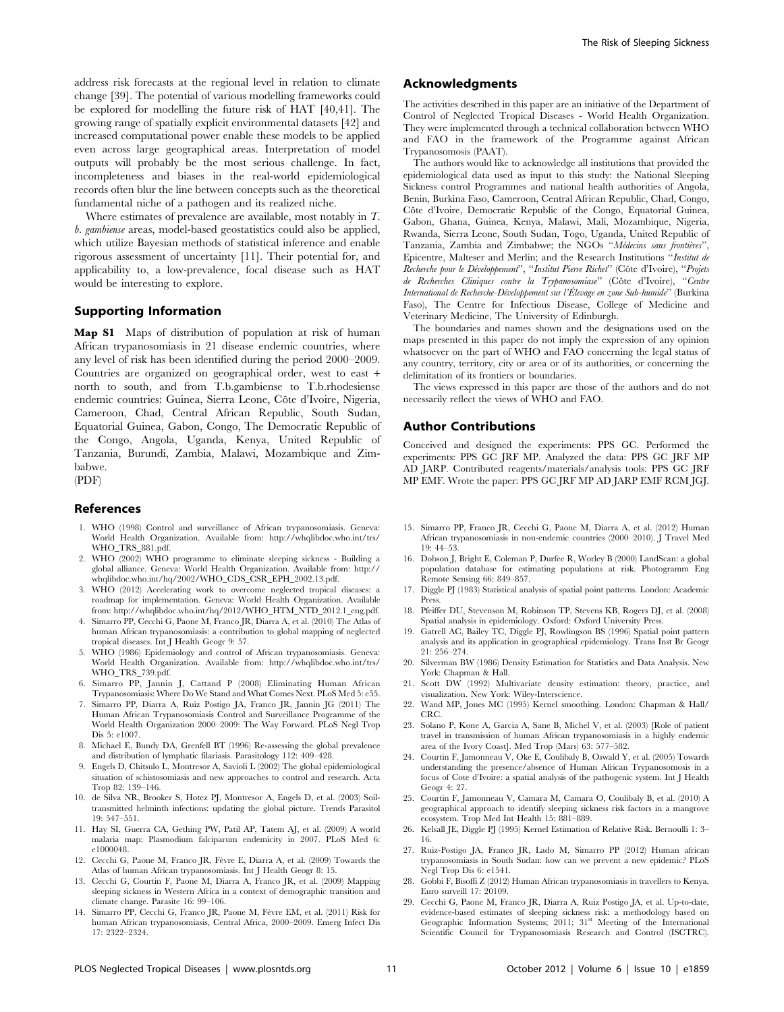be explored for modelling the future risk of HAT [40,41]. The growing range of spatially explicit environmental datasets [42] and increased computational power enable these models to be applied even across large geographical areas. Interpretation of model outputs will probably be the most serious challenge. In fact, incompleteness and biases in the real-world epidemiological records often blur the line between concepts such as the theoretical fundamental niche of a pathogen and its realized niche.

Where estimates of prevalence are available, most notably in T. b. gambiense areas, model-based geostatistics could also be applied, which utilize Bayesian methods of statistical inference and enable rigorous assessment of uncertainty [11]. Their potential for, and applicability to, a low-prevalence, focal disease such as HAT would be interesting to explore.

# Supporting Information

Map S1 Maps of distribution of population at risk of human African trypanosomiasis in 21 disease endemic countries, where any level of risk has been identified during the period 2000–2009. Countries are organized on geographical order, west to east + north to south, and from T.b.gambiense to T.b.rhodesiense endemic countries: Guinea, Sierra Leone, Côte d'Ivoire, Nigeria, Cameroon, Chad, Central African Republic, South Sudan, Equatorial Guinea, Gabon, Congo, The Democratic Republic of the Congo, Angola, Uganda, Kenya, United Republic of Tanzania, Burundi, Zambia, Malawi, Mozambique and Zimbabwe.

# (PDF)

# References

- 1. WHO (1998) Control and surveillance of African trypanosomiasis. Geneva: World Health Organization. Available from: http://whqlibdoc.who.int/trs/ WHO\_TRS\_881.pdf.
- 2. WHO (2002) WHO programme to eliminate sleeping sickness Building a global alliance. Geneva: World Health Organization. Available from: http:// whqlibdoc.who.int/hq/2002/WHO\_CDS\_CSR\_EPH\_2002.13.pdf.
- 3. WHO (2012) Accelerating work to overcome neglected tropical diseases: a roadmap for implementation. Geneva: World Health Organization. Available from: http://whqlibdoc.who.int/hq/2012/WHO\_HTM\_NTD\_2012.1\_eng.pdf.
- 4. Simarro PP, Cecchi G, Paone M, Franco JR, Diarra A, et al. (2010) The Atlas of human African trypanosomiasis: a contribution to global mapping of neglected tropical diseases. Int J Health Geogr 9: 57.
- 5. WHO (1986) Epidemiology and control of African trypanosomiasis. Geneva: World Health Organization. Available from: http://whqlibdoc.who.int/trs/ WHO\_TRS\_739.pdf.
- 6. Simarro PP, Jannin J, Cattand P (2008) Eliminating Human African Trypanosomiasis: Where Do We Stand and What Comes Next. PLoS Med 5: e55.
- 7. Simarro PP, Diarra A, Ruiz Postigo JA, Franco JR, Jannin JG (2011) The Human African Trypanosomiasis Control and Surveillance Programme of the World Health Organization 2000–2009: The Way Forward. PLoS Negl Trop Dis 5: e1007.
- 8. Michael E, Bundy DA, Grenfell BT (1996) Re-assessing the global prevalence and distribution of lymphatic filariasis. Parasitology 112: 409–428.
- 9. Engels D, Chitsulo L, Montresor A, Savioli L (2002) The global epidemiological situation of schistosomiasis and new approaches to control and research. Acta Trop 82: 139–146.
- 10. de Silva NR, Brooker S, Hotez PJ, Montresor A, Engels D, et al. (2003) Soiltransmitted helminth infections: updating the global picture. Trends Parasitol 19: 547–551.
- 11. Hay SI, Guerra CA, Gething PW, Patil AP, Tatem AJ, et al. (2009) A world malaria map: Plasmodium falciparum endemicity in 2007. PLoS Med 6: e1000048.
- 12. Cecchi G, Paone M, Franco JR, Fèvre E, Diarra A, et al. (2009) Towards the Atlas of human African trypanosomiasis. Int J Health Geogr 8: 15.
- 13. Cecchi G, Courtin F, Paone M, Diarra A, Franco JR, et al. (2009) Mapping sleeping sickness in Western Africa in a context of demographic transition and climate change. Parasite 16: 99–106.
- 14. Simarro PP, Cecchi G, Franco JR, Paone M, Fèvre EM, et al. (2011) Risk for human African trypanosomiasis, Central Africa, 2000–2009. Emerg Infect Dis 17: 2322–2324.

# Acknowledgments

The activities described in this paper are an initiative of the Department of Control of Neglected Tropical Diseases - World Health Organization. They were implemented through a technical collaboration between WHO and FAO in the framework of the Programme against African Trypanosomosis (PAAT).

The authors would like to acknowledge all institutions that provided the epidemiological data used as input to this study: the National Sleeping Sickness control Programmes and national health authorities of Angola, Benin, Burkina Faso, Cameroon, Central African Republic, Chad, Congo, Côte d'Ivoire, Democratic Republic of the Congo, Equatorial Guinea, Gabon, Ghana, Guinea, Kenya, Malawi, Mali, Mozambique, Nigeria, Rwanda, Sierra Leone, South Sudan, Togo, Uganda, United Republic of Tanzania, Zambia and Zimbabwe; the NGOs "Médecins sans frontières", Epicentre, Malteser and Merlin; and the Research Institutions ''Institut de Recherche pour le Développement'', "Institut Pierre Richet" (Côte d'Ivoire), "Projets de Recherches Cliniques contre la Trypanosomiase" (Côte d'Ivoire), "Centre International de Recherche-Développement sur l'Élevage en zone Sub-humide" (Burkina Faso), The Centre for Infectious Disease, College of Medicine and Veterinary Medicine, The University of Edinburgh.

The boundaries and names shown and the designations used on the maps presented in this paper do not imply the expression of any opinion whatsoever on the part of WHO and FAO concerning the legal status of any country, territory, city or area or of its authorities, or concerning the delimitation of its frontiers or boundaries.

The views expressed in this paper are those of the authors and do not necessarily reflect the views of WHO and FAO.

#### Author Contributions

Conceived and designed the experiments: PPS GC. Performed the experiments: PPS GC JRF MP. Analyzed the data: PPS GC JRF MP AD JARP. Contributed reagents/materials/analysis tools: PPS GC JRF MP EMF. Wrote the paper: PPS GC JRF MP AD JARP EMF RCM JGJ.

- 15. Simarro PP, Franco JR, Cecchi G, Paone M, Diarra A, et al. (2012) Human African trypanosomiasis in non-endemic countries (2000–2010). J Travel Med 19: 44–53.
- 16. Dobson J, Bright E, Coleman P, Durfee R, Worley B (2000) LandScan: a global population database for estimating populations at risk. Photogramm Eng Remote Sensing 66: 849–857.
- 17. Diggle PJ (1983) Statistical analysis of spatial point patterns. London: Academic Press.
- 18. Pfeiffer DU, Stevenson M, Robinson TP, Stevens KB, Rogers DJ, et al. (2008) Spatial analysis in epidemiology. Oxford: Oxford University Press.
- 19. Gatrell AC, Bailey TC, Diggle PJ, Rowlingson BS (1996) Spatial point pattern analysis and its application in geographical epidemiology. Trans Inst Br Geogr 21: 256–274.
- 20. Silverman BW (1986) Density Estimation for Statistics and Data Analysis. New York: Chapman & Hall.
- 21. Scott DW (1992) Multivariate density estimation: theory, practice, and visualization. New York: Wiley-Interscience.
- 22. Wand MP, Jones MC (1995) Kernel smoothing. London: Chapman & Hall/ CRC.
- 23. Solano P, Kone A, Garcia A, Sane B, Michel V, et al. (2003) [Role of patient travel in transmission of human African trypanosomiasis in a highly endemic area of the Ivory Coast]. Med Trop (Mars) 63: 577–582.
- 24. Courtin F, Jamonneau V, Oke E, Coulibaly B, Oswald Y, et al. (2005) Towards understanding the presence/absence of Human African Trypanosomosis in a focus of Cote d'Ivoire: a spatial analysis of the pathogenic system. Int J Health Geogr 4: 27.
- 25. Courtin F, Jamonneau V, Camara M, Camara O, Coulibaly B, et al. (2010) A geographical approach to identify sleeping sickness risk factors in a mangrove ecosystem. Trop Med Int Health 15: 881–889.
- 26. Kelsall JE, Diggle PJ (1995) Kernel Estimation of Relative Risk. Bernoulli 1: 3– 16.
- 27. Ruiz-Postigo JA, Franco JR, Lado M, Simarro PP (2012) Human african trypanosomiasis in South Sudan: how can we prevent a new epidemic? PLoS Negl Trop Dis 6: e1541.
- 28. Gobbi F, Bisoffi Z (2012) Human African trypanosomiasis in travellers to Kenya. Euro surveill 17: 20109.
- 29. Cecchi G, Paone M, Franco JR, Diarra A, Ruiz Postigo JA, et al. Up-to-date, evidence-based estimates of sleeping sickness risk: a methodology based on Geographic Information Systems; 2011; 31<sup>st</sup> Meeting of the International Scientific Council for Trypanosomiasis Research and Control (ISCTRC).